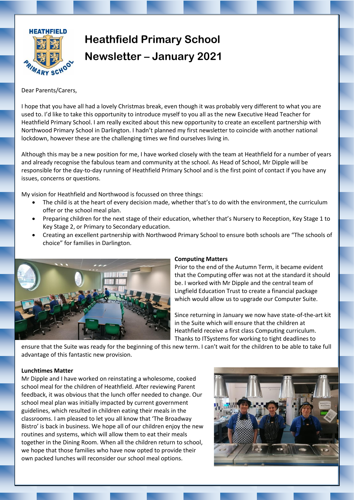

# **Heathfield Primary School Newsletter – January 2021**

Dear Parents/Carers,

I hope that you have all had a lovely Christmas break, even though it was probably very different to what you are used to. I'd like to take this opportunity to introduce myself to you all as the new Executive Head Teacher for Heathfield Primary School. I am really excited about this new opportunity to create an excellent partnership with Northwood Primary School in Darlington. I hadn't planned my first newsletter to coincide with another national lockdown, however these are the challenging times we find ourselves living in.

Although this may be a new position for me, I have worked closely with the team at Heathfield for a number of years and already recognise the fabulous team and community at the school. As Head of School, Mr Dipple will be responsible for the day-to-day running of Heathfield Primary School and is the first point of contact if you have any issues, concerns or questions.

My vision for Heathfield and Northwood is focussed on three things:

- The child is at the heart of every decision made, whether that's to do with the environment, the curriculum offer or the school meal plan.
- Preparing children for the next stage of their education, whether that's Nursery to Reception, Key Stage 1 to Key Stage 2, or Primary to Secondary education.
- Creating an excellent partnership with Northwood Primary School to ensure both schools are "The schools of choice" for families in Darlington.



## **Computing Matters**

Prior to the end of the Autumn Term, it became evident that the Computing offer was not at the standard it should be. I worked with Mr Dipple and the central team of Lingfield Education Trust to create a financial package which would allow us to upgrade our Computer Suite.

Since returning in January we now have state-of-the-art kit in the Suite which will ensure that the children at Heathfield receive a first class Computing curriculum. Thanks to ITSystems for working to tight deadlines to

ensure that the Suite was ready for the beginning of this new term. I can't wait for the children to be able to take full advantage of this fantastic new provision.

## **Lunchtimes Matter**

Mr Dipple and I have worked on reinstating a wholesome, cooked school meal for the children of Heathfield. After reviewing Parent feedback, it was obvious that the lunch offer needed to change. Our school meal plan was initially impacted by current government guidelines, which resulted in children eating their meals in the classrooms. I am pleased to let you all know that 'The Broadway Bistro' is back in business. We hope all of our children enjoy the new routines and systems, which will allow them to eat their meals together in the Dining Room. When all the children return to school, we hope that those families who have now opted to provide their own packed lunches will reconsider our school meal options.